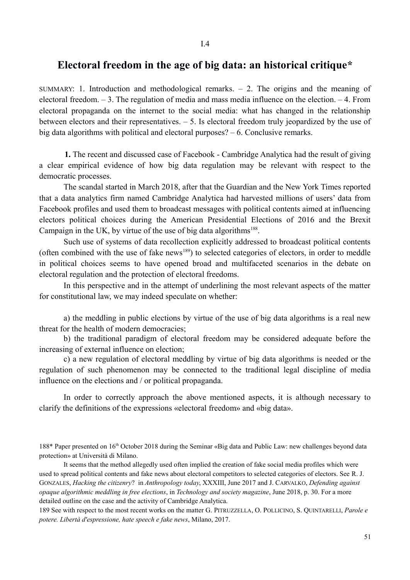## **Electoral freedom in the age of big data: an historical critique\***

SUMMARY: 1. Introduction and methodological remarks. – 2. The origins and the meaning of electoral freedom. – 3. The regulation of media and mass media influence on the election. – 4. From electoral propaganda on the internet to the social media: what has changed in the relationship between electors and their representatives. – 5. Is electoral freedom truly jeopardized by the use of big data algorithms with political and electoral purposes? – 6. Conclusive remarks.

**1.** The recent and discussed case of Facebook - Cambridge Analytica had the result of giving a clear empirical evidence of how big data regulation may be relevant with respect to the democratic processes.

The scandal started in March 2018, after that the Guardian and the New York Times reported that a data analytics firm named Cambridge Analytica had harvested millions of users' data from Facebook profiles and used them to broadcast messages with political contents aimed at influencing electors political choices during the American Presidential Elections of 2016 and the Brexit Campaign in the UK, by virtue of the use of big data algorithms<sup>188</sup>.

Such use of systems of data recollection explicitly addressed to broadcast political contents (often combined with the use of fake news<sup>189</sup>) to selected categories of electors, in order to meddle in political choices seems to have opened broad and multifaceted scenarios in the debate on electoral regulation and the protection of electoral freedoms.

In this perspective and in the attempt of underlining the most relevant aspects of the matter for constitutional law, we may indeed speculate on whether:

a) the meddling in public elections by virtue of the use of big data algorithms is a real new threat for the health of modern democracies;

b) the traditional paradigm of electoral freedom may be considered adequate before the increasing of external influence on election;

c) a new regulation of electoral meddling by virtue of big data algorithms is needed or the regulation of such phenomenon may be connected to the traditional legal discipline of media influence on the elections and / or political propaganda.

In order to correctly approach the above mentioned aspects, it is although necessary to clarify the definitions of the expressions «electoral freedom» and «big data».

188\* Paper presented on 16<sup>th</sup> October 2018 during the Seminar «Big data and Public Law: new challenges beyond data protection» at Università di Milano.

It seems that the method allegedly used often implied the creation of fake social media profiles which were used to spread political contents and fake news about electoral competitors to selected categories of electors. See R. J. GONZALES, *Hacking the citizenry*? in *Anthropology today*, XXXIII, June 2017 and J. CARVALKO, *Defending against opaque algorithmic meddling in free elections*, in *Technology and society magazine*, June 2018, p. 30. For a more detailed outline on the case and the activity of Cambridge Analytica.

189 See with respect to the most recent works on the matter G. PITRUZZELLA, O. POLLICINO, S. QUINTARELLI, *Parole e potere. Libertà d'espressione, hate speech e fake news*, Milano, 2017.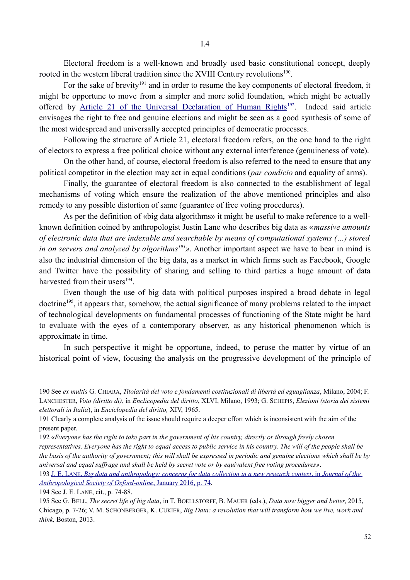Electoral freedom is a well-known and broadly used basic constitutional concept, deeply rooted in the western liberal tradition since the XVIII Century revolutions<sup>190</sup>.

For the sake of brevity<sup>191</sup> and in order to resume the key components of electoral freedom, it might be opportune to move from a simpler and more solid foundation, which might be actually offered by Article 21 of the Universal Declaration of Human Rights<sup>192</sup>. Indeed said article envisages the right to free and genuine elections and might be seen as a good synthesis of some of the most widespread and universally accepted principles of democratic processes.

Following the structure of Article 21, electoral freedom refers, on the one hand to the right of electors to express a free political choice without any external interference (genuineness of vote).

On the other hand, of course, electoral freedom is also referred to the need to ensure that any political competitor in the election may act in equal conditions (*par condicio* and equality of arms).

Finally, the guarantee of electoral freedom is also connected to the establishment of legal mechanisms of voting which ensure the realization of the above mentioned principles and also remedy to any possible distortion of same (guarantee of free voting procedures).

As per the definition of «big data algorithms» it might be useful to make reference to a wellknown definition coined by anthropologist Justin Lane who describes big data as «*massive amounts of electronic data that are indexable and searchable by means of computational systems (…) stored in on servers and analyzed by algorithms<sup>193</sup>»*. Another important aspect we have to bear in mind is also the industrial dimension of the big data, as a market in which firms such as Facebook, Google and Twitter have the possibility of sharing and selling to third parties a huge amount of data harvested from their users<sup>194</sup>.

Even though the use of big data with political purposes inspired a broad debate in legal doctrine<sup>195</sup>, it appears that, somehow, the actual significance of many problems related to the impact of technological developments on fundamental processes of functioning of the State might be hard to evaluate with the eyes of a contemporary observer, as any historical phenomenon which is approximate in time.

In such perspective it might be opportune, indeed, to peruse the matter by virtue of an historical point of view, focusing the analysis on the progressive development of the principle of

194 See J. E. LANE, cit., p. 74-88.

<sup>190</sup> See *ex multis* G. CHIARA, *Titolarità del voto e fondamenti costituzionali di libertà ed eguaglianza*, Milano, 2004; F. LANCHESTER, *Voto (diritto di)*, in *Enclicopedia del diritto*, XLVI, Milano, 1993; G. SCHEPIS, *Elezioni (storia dei sistemi elettorali in Italia*), in *Enciclopedia del diritto,* XIV, 1965.

<sup>191</sup> Clearly a complete analysis of the issue should require a deeper effort which is inconsistent with the aim of the present paper.

<sup>192 «</sup>*Everyone has the right to take part in the government of his country, directly or through freely chosen representatives. Everyone has the right to equal access to public service in his country. The will of the people shall be the basis of the authority of government; this will shall be expressed in periodic and genuine elections which shall be by universal and equal suffrage and shall be held by secret vote or by equivalent free voting procedures»*.

<sup>193</sup> J. E. LANE , *Big data and anthropology: concerns for data collection in a new research context* , in*Journal of the Anthropological Society of Oxford-online*, January 2016, p. 74.

<sup>195</sup> See G. BELL, *The secret life of big data*, in T. BOELLSTORFF, B. MAUER (eds.), *Data now bigger and better*, 2015, Chicago, p. 7-26; V. M. SCHONBERGER, K. CUKIER, *Big Data: a revolution that will transform how we live, work and think,* Boston, 2013.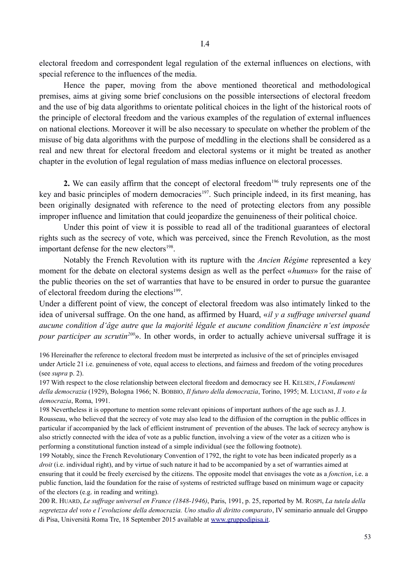electoral freedom and correspondent legal regulation of the external influences on elections, with special reference to the influences of the media.

Hence the paper, moving from the above mentioned theoretical and methodological premises, aims at giving some brief conclusions on the possible intersections of electoral freedom and the use of big data algorithms to orientate political choices in the light of the historical roots of the principle of electoral freedom and the various examples of the regulation of external influences on national elections. Moreover it will be also necessary to speculate on whether the problem of the misuse of big data algorithms with the purpose of meddling in the elections shall be considered as a real and new threat for electoral freedom and electoral systems or it might be treated as another chapter in the evolution of legal regulation of mass medias influence on electoral processes.

**2.** We can easily affirm that the concept of electoral freedom<sup>196</sup> truly represents one of the key and basic principles of modern democracies<sup>197</sup>. Such principle indeed, in its first meaning, has been originally designated with reference to the need of protecting electors from any possible improper influence and limitation that could jeopardize the genuineness of their political choice.

Under this point of view it is possible to read all of the traditional guarantees of electoral rights such as the secrecy of vote, which was perceived, since the French Revolution, as the most important defense for the new electors<sup>198</sup>.

Notably the French Revolution with its rupture with the *Ancien Régime* represented a key moment for the debate on electoral systems design as well as the perfect «*humus*» for the raise of the public theories on the set of warranties that have to be ensured in order to pursue the guarantee of electoral freedom during the elections<sup>199</sup>.

Under a different point of view, the concept of electoral freedom was also intimately linked to the idea of universal suffrage. On the one hand, as affirmed by Huard, «*il y a suffrage universel quand aucune condition d'âge autre que la majorité légale et aucune condition financière n'est imposée pour participer au scrutin<sup>200</sup>*». In other words, in order to actually achieve universal suffrage it is

196 Hereinafter the reference to electoral freedom must be interpreted as inclusive of the set of principles envisaged under Article 21 i.e. genuineness of vote, equal access to elections, and fairness and freedom of the voting procedures (see *supra* p. 2).

197 With respect to the close relationship between electoral freedom and democracy see H. KELSEN, *I Fondamenti della democrazia* (1929), Bologna 1966; N. BOBBIO, *Il futuro della democrazia*, Torino, 1995; M. LUCIANI, *Il voto e la democrazia*, Roma, 1991.

198 Nevertheless it is opportune to mention some relevant opinions of important authors of the age such as J. J. Rousseau, who believed that the secrecy of vote may also lead to the diffusion of the corruption in the public offices in particular if accompanied by the lack of efficient instrument of prevention of the abuses. The lack of secrecy anyhow is also strictly connected with the idea of vote as a public function, involving a view of the voter as a citizen who is performing a constitutional function instead of a simple individual (see the following footnote).

199 Notably, since the French Revolutionary Convention of 1792, the right to vote has been indicated properly as a *droit* (i.e. individual right), and by virtue of such nature it had to be accompanied by a set of warranties aimed at ensuring that it could be freely exercised by the citizens. The opposite model that envisages the vote as a *fonction*, i.e. a public function, laid the foundation for the raise of systems of restricted suffrage based on minimum wage or capacity of the electors (e.g. in reading and writing).

200 R. HUARD, *Le suffrage universel en France (1848-1946)*, Paris, 1991, p. 25, reported by M. ROSPI, *La tutela della segretezza del voto e l'evoluzione della democrazia. Uno studio di diritto comparato*, IV seminario annuale del Gruppo di Pisa, Università Roma Tre, 18 September 2015 available at www.gruppodipisa.it.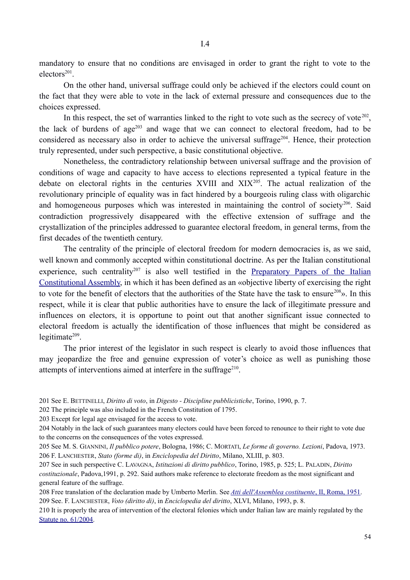mandatory to ensure that no conditions are envisaged in order to grant the right to vote to the electors<sup>201</sup>

On the other hand, universal suffrage could only be achieved if the electors could count on the fact that they were able to vote in the lack of external pressure and consequences due to the choices expressed.

In this respect, the set of warranties linked to the right to vote such as the secrecy of vote  $202$ . the lack of burdens of  $age^{203}$  and wage that we can connect to electoral freedom, had to be considered as necessary also in order to achieve the universal suffrage<sup>204</sup>. Hence, their protection truly represented, under such perspective, a basic constitutional objective.

Nonetheless, the contradictory relationship between universal suffrage and the provision of conditions of wage and capacity to have access to elections represented a typical feature in the debate on electoral rights in the centuries XVIII and  $XIX^{205}$ . The actual realization of the revolutionary principle of equality was in fact hindered by a bourgeois ruling class with oligarchic and homogeneous purposes which was interested in maintaining the control of society<sup>206</sup>. Said contradiction progressively disappeared with the effective extension of suffrage and the crystallization of the principles addressed to guarantee electoral freedom, in general terms, from the first decades of the twentieth century.

The centrality of the principle of electoral freedom for modern democracies is, as we said, well known and commonly accepted within constitutional doctrine. As per the Italian constitutional experience, such centrality<sup>207</sup> is also well testified in the Preparatory Papers of the Italian Constitutional Assembly, in which it has been defined as an «objective liberty of exercising the right to vote for the benefit of electors that the authorities of the State have the task to ensure<sup>208</sup>». In this respect, while it is clear that public authorities have to ensure the lack of illegitimate pressure and influences on electors, it is opportune to point out that another significant issue connected to electoral freedom is actually the identification of those influences that might be considered as legitimate $209$ .

The prior interest of the legislator in such respect is clearly to avoid those influences that may jeopardize the free and genuine expression of voter's choice as well as punishing those attempts of interventions aimed at interfere in the suffrage<sup>210</sup>.

201 See E. BETTINELLI, *Diritto di voto*, in *Digesto - Discipline pubblicistiche*, Torino, 1990, p. 7.

202 The principle was also included in the French Constitution of 1795.

203 Except for legal age envisaged for the access to vote.

204 Notably in the lack of such guarantees many electors could have been forced to renounce to their right to vote due to the concerns on the consequences of the votes expressed.

205 See M. S. GIANNINI, *Il pubblico potere*, Bologna, 1986; C. MORTATI, *Le forme di governo. Lezioni*, Padova, 1973. 206 F. LANCHESTER, *Stato (forme di)*, in *Enciclopedia del Diritto*, Milano, XLIII, p. 803.

207 See in such perspective C. LAVAGNA, *Istituzioni di diritto pubblico*, Torino, 1985, p. 525; L. PALADIN, *Diritto costituzionale*, Padova,1991, p. 292. Said authors make reference to electorate freedom as the most significant and general feature of the suffrage.

208 Free translation of the declaration made by Umberto Merlin. See *Atti dell'Assemblea costituente*, II, Roma, 1951. 209 See. F. LANCHESTER, *Voto (diritto di)*, in *Enciclopedia del diritto*, XLVI, Milano, 1993, p. 8.

210 It is properly the area of intervention of the electoral felonies which under Italian law are mainly regulated by the Statute no. 61/2004.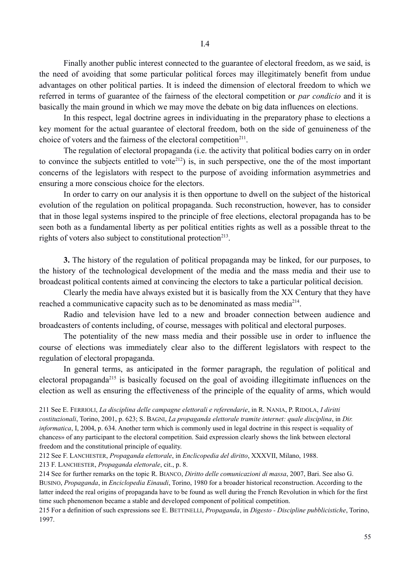Finally another public interest connected to the guarantee of electoral freedom, as we said, is the need of avoiding that some particular political forces may illegitimately benefit from undue advantages on other political parties. It is indeed the dimension of electoral freedom to which we referred in terms of guarantee of the fairness of the electoral competition or *par condicio* and it is basically the main ground in which we may move the debate on big data influences on elections.

In this respect, legal doctrine agrees in individuating in the preparatory phase to elections a key moment for the actual guarantee of electoral freedom, both on the side of genuineness of the choice of voters and the fairness of the electoral competition<sup> $211$ </sup>.

The regulation of electoral propaganda (i.e. the activity that political bodies carry on in order to convince the subjects entitled to vote<sup>212</sup>) is, in such perspective, one the of the most important concerns of the legislators with respect to the purpose of avoiding information asymmetries and ensuring a more conscious choice for the electors.

In order to carry on our analysis it is then opportune to dwell on the subject of the historical evolution of the regulation on political propaganda. Such reconstruction, however, has to consider that in those legal systems inspired to the principle of free elections, electoral propaganda has to be seen both as a fundamental liberty as per political entities rights as well as a possible threat to the rights of voters also subject to constitutional protection<sup> $213$ </sup>.

**3.** The history of the regulation of political propaganda may be linked, for our purposes, to the history of the technological development of the media and the mass media and their use to broadcast political contents aimed at convincing the electors to take a particular political decision.

Clearly the media have always existed but it is basically from the XX Century that they have reached a communicative capacity such as to be denominated as mass media<sup>214</sup>.

Radio and television have led to a new and broader connection between audience and broadcasters of contents including, of course, messages with political and electoral purposes.

The potentiality of the new mass media and their possible use in order to influence the course of elections was immediately clear also to the different legislators with respect to the regulation of electoral propaganda.

In general terms, as anticipated in the former paragraph, the regulation of political and electoral propaganda<sup>215</sup> is basically focused on the goal of avoiding illegitimate influences on the election as well as ensuring the effectiveness of the principle of the equality of arms, which would

211 See E. FERRIOLI, *La disciplina delle campagne elettorali e referendarie*, in R. NANIA, P. RIDOLA, *I diritti costituzionali*, Torino, 2001, p. 623; S. BAGNI, *La propaganda elettorale tramite internet: quale disciplina*, in *Dir. informatica*, I, 2004, p. 634. Another term which is commonly used in legal doctrine in this respect is «equality of chances» of any participant to the electoral competition. Said expression clearly shows the link between electoral freedom and the constitutional principle of equality.

212 See F. LANCHESTER, *Propaganda elettorale*, in *Enclicopedia del diritto*, XXXVII, Milano, 1988.

213 F. LANCHESTER, *Propaganda elettorale*, cit., p. 8.

214 See for further remarks on the topic R. BIANCO, *Diritto delle comunicazioni di massa*, 2007, Bari. See also G. BUSINO, *Propaganda*, in *Enciclopedia Einaudi*, Torino, 1980 for a broader historical reconstruction. According to the latter indeed the real origins of propaganda have to be found as well during the French Revolution in which for the first time such phenomenon became a stable and developed component of political competition.

215 For a definition of such expressions see E. BETTINELLI, *Propaganda*, in *Digesto - Discipline pubblicistiche*, Torino, 1997.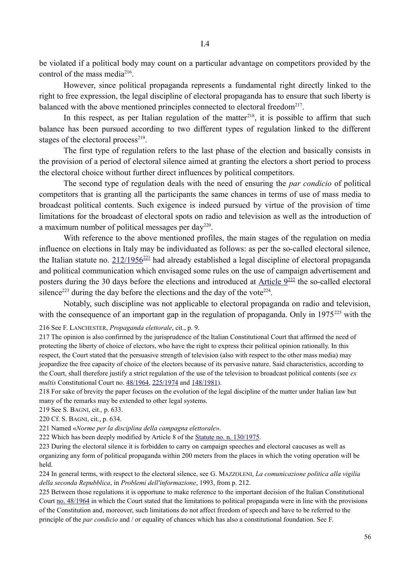be violated if a political body may count on a particular advantage on competitors provided by the control of the mass media216.

However, since political propaganda represents a fundamental right directly linked to the right to free expression, the legal discipline of electoral propaganda has to ensure that such liberty is balanced with the above mentioned principles connected to electoral freedom<sup>217</sup>.

In this respect, as per Italian regulation of the matter<sup>218</sup>, it is possible to affirm that such balance has been pursued according to two different types of regulation linked to the different stages of the electoral process<sup>219</sup>.

The first type of regulation refers to the last phase of the election and basically consists in the provision of a period of electoral silence aimed at granting the electors a short period to process the electoral choice without further direct influences by political competitors.

The second type of regulation deals with the need of ensuring the *par condicio* of political competitors that is granting all the participants the same chances in terms of use of mass media to broadcast political contents. Such exigence is indeed pursued by virtue of the provision of time limitations for the broadcast of electoral spots on radio and television as well as the introduction of a maximum number of political messages per day $^{220}$ .

With reference to the above mentioned profiles, the main stages of the regulation on media influence on elections in Italy may be individuated as follows: as per the so-called electoral silence, the Italian statute no.  $212/1956^{221}$  had already established a legal discipline of electoral propaganda and political communication which envisaged some rules on the use of campaign advertisement and posters during the 30 days before the elections and introduced at Article  $9^{222}$  the so-called electoral silence<sup>223</sup> during the day before the elections and the day of the vote<sup>224</sup>.

Notably, such discipline was not applicable to electoral propaganda on radio and television, with the consequence of an important gap in the regulation of propaganda. Only in 1975<sup>225</sup> with the

216 See F. LANCHESTER, *Propaganda elettorale*, cit., p. 9.

217 The opinion is also confirmed by the jurisprudence of the Italian Constitutional Court that affirmed the need of protecting the liberty of choice of electors, who have the right to express their political opinion rationally. In this respect, the Court stated that the persuasive strength of television (also with respect to the other mass media) may jeopardize the free capacity of choice of the electors because of its pervasive nature. Said characteristics, according to the Court, shall therefore justify a strict regulation of the use of the television to broadcast political contents (see *ex multis* Constitutional Court no. 48/1964, 225/1974 and 148/1981).

218 For sake of brevity the paper focuses on the evolution of the legal discipline of the matter under Italian law but many of the remarks may be extended to other legal systems.

219 See S. BAGNI, cit.*,* p. 633.

220 Cf. S. BAGNI, cit*.*, p. 634.

221 Named «*Norme per la disciplina della campagna elettorale*».

222 Which has been deeply modified by Article 8 of the Statute no. n. 130/1975.

223 During the electoral silence it is forbidden to carry on campaign speeches and electoral caucuses as well as organizing any form of political propaganda within 200 meters from the places in which the voting operation will be held.

224 In general terms, with respect to the electoral silence, see G. MAZZOLENI, *La comunicazione politica alla vigilia della seconda Repubblica*, in *Problemi dell'informazione*, 1993, from p. 212.

225 Between those regulations it is opportune to make reference to the important decision of the Italian Constitutional Court no. 48/1964 in which the Court stated that the limitations to political propaganda were in line with the provisions of the Constitution and, moreover, such limitations do not affect freedom of speech and have to be referred to the principle of the *par condicio* and / or equality of chances which has also a constitutional foundation. See F.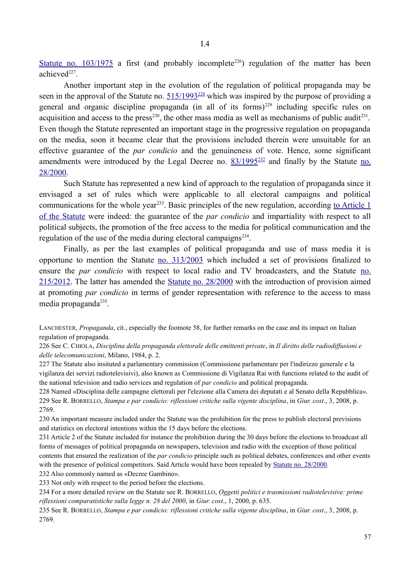Statute no.  $103/1975$  a first (and probably incomplete<sup>226</sup>) regulation of the matter has been achieve $d^{227}$ 

Another important step in the evolution of the regulation of political propaganda may be seen in the approval of the Statute no. 515/1993<sup>228</sup> which was inspired by the purpose of providing a general and organic discipline propaganda (in all of its forms)<sup>229</sup> including specific rules on acquisition and access to the press<sup>230</sup>, the other mass media as well as mechanisms of public audit<sup>231</sup>. Even though the Statute represented an important stage in the progressive regulation on propaganda on the media, soon it became clear that the provisions included therein were unsuitable for an effective guarantee of the *par condicio* and the genuineness of vote. Hence, some significant amendments were introduced by the Legal Decree no.  $83/1995^{232}$  and finally by the Statute no. 28/2000.

Such Statute has represented a new kind of approach to the regulation of propaganda since it envisaged a set of rules which were applicable to all electoral campaigns and political communications for the whole year<sup>233</sup>. Basic principles of the new regulation, according to Article 1 of the Statute were indeed: the guarantee of the *par condicio* and impartiality with respect to all political subjects, the promotion of the free access to the media for political communication and the regulation of the use of the media during electoral campaigns<sup> $234$ </sup>.

Finally, as per the last examples of political propaganda and use of mass media it is opportune to mention the Statute no. 313/2003 which included a set of provisions finalized to ensure the *par condicio* with respect to local radio and TV broadcasters, and the Statute no. 215/2012. The latter has amended the Statute no. 28/2000 with the introduction of provision aimed at promoting *par condicio* in terms of gender representation with reference to the access to mass media propaganda $^{235}$ .

LANCHESTER, *Propaganda*, cit., especially the footnote 58, for further remarks on the case and its impact on Italian regulation of propaganda.

226 See C. CHIOLA, *Disciplina della propaganda elettorale delle emittenti private*, in *Il diritto delle radiodiffusioni e delle telecomunicazioni*, Milano, 1984, p. 2.

227 The Statute also insituted a parlamentary commission (Commissione parlamentare per l'indirizzo generale e la vigilanza dei servizi radiotelevisivi), also known as Commissione di Vigilanza Rai with functions related to the audit of the national television and radio services and regulation of *par condicio* and political propaganda.

228 Named «Disciplina delle campagne elettorali per l'elezione alla Camera dei deputati e al Senato della Repubblica». 229 See R. BORRELLO, *Stampa e par condicio: riflessioni critiche sulla vigente disciplina*, in *Giur. cost*., 3, 2008, p. 2769.

230 An important measure included under the Statute was the prohibition for the press to publish electoral previsions and statistics on electoral intentions within the 15 days before the elections.

231 Article 2 of the Statute included for instance the prohibition during the 30 days before the elections to broadcast all forms of messages of political propaganda on newspapers, television and radio with the exception of those political contents that ensured the realization of the *par condicio* principle such as political debates, conferences and other events with the presence of political competitors. Said Article would have been repealed by Statute no. 28/2000.

232 Also commonly named as «Decree Gambino».

233 Not only with respect to the period before the elections.

234 For a more detailed review on the Statute see R. BORRELLO, *Oggetti politici e trasmissioni radiotelevisive: prime riflessioni comparatistiche sulla legge n. 28 del 2000*, in *Giur. cost*., 1, 2000, p. 635.

235 See R. BORRELLO, *Stampa e par condicio: riflessioni critiche sulla vigente disciplina*, in *Giur. cost*., 3, 2008, p. 2769.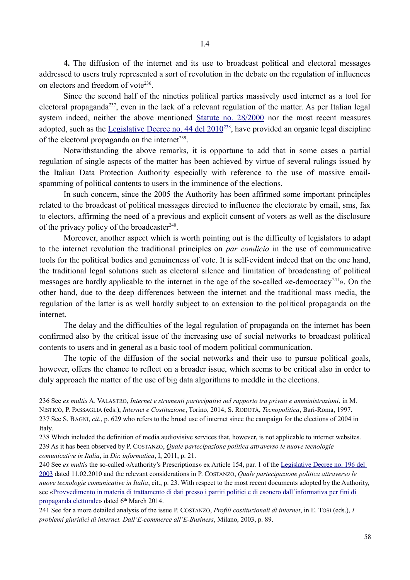**4.** The diffusion of the internet and its use to broadcast political and electoral messages addressed to users truly represented a sort of revolution in the debate on the regulation of influences on electors and freedom of vote<sup>236</sup>.

Since the second half of the nineties political parties massively used internet as a tool for electoral propaganda<sup>237</sup>, even in the lack of a relevant regulation of the matter. As per Italian legal system indeed, neither the above mentioned Statute no. 28/2000 nor the most recent measures adopted, such as the Legislative Decree no. 44 del  $2010^{238}$ , have provided an organic legal discipline of the electoral propaganda on the internet<sup> $239$ </sup>.

Notwithstanding the above remarks, it is opportune to add that in some cases a partial regulation of single aspects of the matter has been achieved by virtue of several rulings issued by the Italian Data Protection Authority especially with reference to the use of massive emailspamming of political contents to users in the imminence of the elections.

In such concern, since the 2005 the Authority has been affirmed some important principles related to the broadcast of political messages directed to influence the electorate by email, sms, fax to electors, affirming the need of a previous and explicit consent of voters as well as the disclosure of the privacy policy of the broadcaster $240$ .

Moreover, another aspect which is worth pointing out is the difficulty of legislators to adapt to the internet revolution the traditional principles on *par condicio* in the use of communicative tools for the political bodies and genuineness of vote. It is self-evident indeed that on the one hand, the traditional legal solutions such as electoral silence and limitation of broadcasting of political messages are hardly applicable to the internet in the age of the so-called «e-democracy<sup>241</sup>». On the other hand, due to the deep differences between the internet and the traditional mass media, the regulation of the latter is as well hardly subject to an extension to the political propaganda on the internet.

The delay and the difficulties of the legal regulation of propaganda on the internet has been confirmed also by the critical issue of the increasing use of social networks to broadcast political contents to users and in general as a basic tool of modern political communication.

The topic of the diffusion of the social networks and their use to pursue political goals, however, offers the chance to reflect on a broader issue, which seems to be critical also in order to duly approach the matter of the use of big data algorithms to meddle in the elections.

236 See *ex multis* A. VALASTRO, *Internet e strumenti partecipativi nel rapporto tra privati e amministrazioni*, in M. NISTICÒ, P. PASSAGLIA (eds.), *Internet e Costituzione*, Torino, 2014; S. RODOTÀ, *Tecnopolitica*, Bari-Roma, 1997. 237 See S. BAGNI, *cit*., p. 629 who refers to the broad use of internet since the campaign for the elections of 2004 in Italy.

238 Which included the definition of media audiovisive services that, however, is not applicable to internet websites. 239 As it has been observed by P. COSTANZO, *Quale partecipazione politica attraverso le nuove tecnologie comunicative in Italia*, in *Dir. informatica*, I, 2011, p. 21.

240 See *ex multis* the so-called «Authority's Prescriptions» ex Article 154, par. 1 of the Legislative Decree no. 196 del 2003 dated 11.02.2010 and the relevant considerations in P. COSTANZO, *Quale partecipazione politica attraverso le nuove tecnologie comunicative in Italia*, cit., p. 23. With respect to the most recent documents adopted by the Authority, see «Provvedimento in materia di trattamento di dati presso i partiti politici e di esonero dall´informativa per fini di propaganda elettorale» dated 6<sup>th</sup> March 2014.

241 See for a more detailed analysis of the issue P. COSTANZO, *Profili costituzionali di internet*, in E. TOSI (eds.), *I problemi giuridici di internet. Dall'E-commerce all'E-Business*, Milano, 2003, p. 89.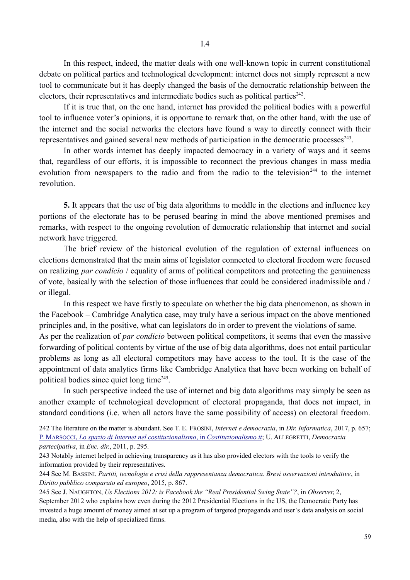In this respect, indeed, the matter deals with one well-known topic in current constitutional debate on political parties and technological development: internet does not simply represent a new tool to communicate but it has deeply changed the basis of the democratic relationship between the electors, their representatives and intermediate bodies such as political parties $^{242}$ .

If it is true that, on the one hand, internet has provided the political bodies with a powerful tool to influence voter's opinions, it is opportune to remark that, on the other hand, with the use of the internet and the social networks the electors have found a way to directly connect with their representatives and gained several new methods of participation in the democratic processes $^{243}$ .

In other words internet has deeply impacted democracy in a variety of ways and it seems that, regardless of our efforts, it is impossible to reconnect the previous changes in mass media evolution from newspapers to the radio and from the radio to the television<sup>244</sup> to the internet revolution.

**5.** It appears that the use of big data algorithms to meddle in the elections and influence key portions of the electorate has to be perused bearing in mind the above mentioned premises and remarks, with respect to the ongoing revolution of democratic relationship that internet and social network have triggered.

The brief review of the historical evolution of the regulation of external influences on elections demonstrated that the main aims of legislator connected to electoral freedom were focused on realizing *par condicio* / equality of arms of political competitors and protecting the genuineness of vote, basically with the selection of those influences that could be considered inadmissible and / or illegal.

In this respect we have firstly to speculate on whether the big data phenomenon, as shown in the Facebook – Cambridge Analytica case, may truly have a serious impact on the above mentioned principles and, in the positive, what can legislators do in order to prevent the violations of same.

As per the realization of *par condicio* between political competitors, it seems that even the massive forwarding of political contents by virtue of the use of big data algorithms, does not entail particular problems as long as all electoral competitors may have access to the tool. It is the case of the appointment of data analytics firms like Cambridge Analytica that have been working on behalf of political bodies since quiet long time<sup>245</sup>.

In such perspective indeed the use of internet and big data algorithms may simply be seen as another example of technological development of electoral propaganda, that does not impact, in standard conditions (i.e. when all actors have the same possibility of access) on electoral freedom.

242 The literature on the matter is abundant. See T. E. FROSINI, *Internet e democrazia*, in *Dir. Informatica*, 2017, p. 657; P. MARSOCCI , *Lo spazio di Internet nel costituzionalismo* , in *Costituzionalismo.it*; U. ALLEGRETTI, *Democrazia partecipativa*, in *Enc. dir*., 2011, p. 295.

243 Notably internet helped in achieving transparency as it has also provided electors with the tools to verify the information provided by their representatives.

244 See M. BASSINI. *Partiti, tecnologie e crisi della rappresentanza democratica. Brevi osservazioni introduttive*, in *Diritto pubblico comparato ed europeo*, 2015, p. 867.

245 See J. NAUGHTON, *Us Elections 2012: is Facebook the "Real Presidential Swing State"?*, in *Observer*, 2, September 2012 who explains how even during the 2012 Presidential Elections in the US, the Democratic Party has invested a huge amount of money aimed at set up a program of targeted propaganda and user's data analysis on social media, also with the help of specialized firms.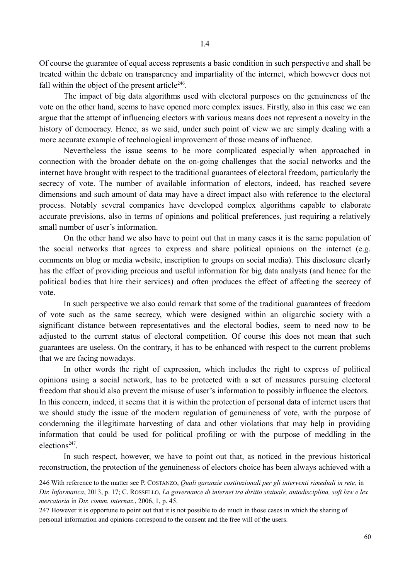Of course the guarantee of equal access represents a basic condition in such perspective and shall be treated within the debate on transparency and impartiality of the internet, which however does not fall within the object of the present article<sup>246</sup>.

The impact of big data algorithms used with electoral purposes on the genuineness of the vote on the other hand, seems to have opened more complex issues. Firstly, also in this case we can argue that the attempt of influencing electors with various means does not represent a novelty in the history of democracy. Hence, as we said, under such point of view we are simply dealing with a more accurate example of technological improvement of those means of influence.

Nevertheless the issue seems to be more complicated especially when approached in connection with the broader debate on the on-going challenges that the social networks and the internet have brought with respect to the traditional guarantees of electoral freedom, particularly the secrecy of vote. The number of available information of electors, indeed, has reached severe dimensions and such amount of data may have a direct impact also with reference to the electoral process. Notably several companies have developed complex algorithms capable to elaborate accurate previsions, also in terms of opinions and political preferences, just requiring a relatively small number of user's information.

On the other hand we also have to point out that in many cases it is the same population of the social networks that agrees to express and share political opinions on the internet (e.g. comments on blog or media website, inscription to groups on social media). This disclosure clearly has the effect of providing precious and useful information for big data analysts (and hence for the political bodies that hire their services) and often produces the effect of affecting the secrecy of vote.

In such perspective we also could remark that some of the traditional guarantees of freedom of vote such as the same secrecy, which were designed within an oligarchic society with a significant distance between representatives and the electoral bodies, seem to need now to be adjusted to the current status of electoral competition. Of course this does not mean that such guarantees are useless. On the contrary, it has to be enhanced with respect to the current problems that we are facing nowadays.

In other words the right of expression, which includes the right to express of political opinions using a social network, has to be protected with a set of measures pursuing electoral freedom that should also prevent the misuse of user's information to possibly influence the electors. In this concern, indeed, it seems that it is within the protection of personal data of internet users that we should study the issue of the modern regulation of genuineness of vote, with the purpose of condemning the illegitimate harvesting of data and other violations that may help in providing information that could be used for political profiling or with the purpose of meddling in the elections<sup>247</sup>

In such respect, however, we have to point out that, as noticed in the previous historical reconstruction, the protection of the genuineness of electors choice has been always achieved with a

<sup>246</sup> With reference to the matter see P. COSTANZO, *Quali garanzie costituzionali per gli interventi rimediali in rete*, in *Dir. Informatica*, 2013, p. 17; C. ROSSELLO, *La governance di internet tra diritto statuale, autodisciplina, soft law e lex mercatoria* in *Dir. comm. internaz*., 2006, 1, p. 45.

<sup>247</sup> However it is opportune to point out that it is not possible to do much in those cases in which the sharing of personal information and opinions correspond to the consent and the free will of the users.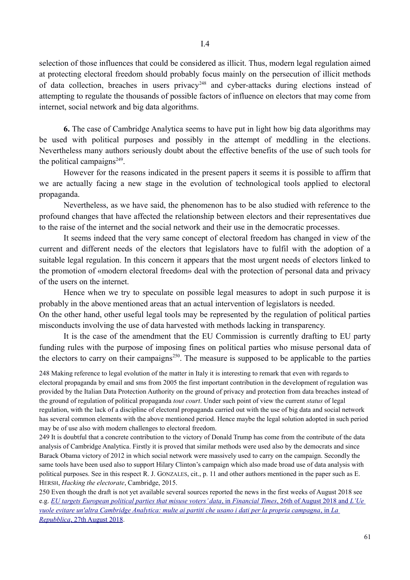selection of those influences that could be considered as illicit. Thus, modern legal regulation aimed

at protecting electoral freedom should probably focus mainly on the persecution of illicit methods of data collection, breaches in users privacy<sup>248</sup> and cyber-attacks during elections instead of attempting to regulate the thousands of possible factors of influence on electors that may come from internet, social network and big data algorithms.

**6.** The case of Cambridge Analytica seems to have put in light how big data algorithms may be used with political purposes and possibly in the attempt of meddling in the elections. Nevertheless many authors seriously doubt about the effective benefits of the use of such tools for the political campaigns $249$ .

However for the reasons indicated in the present papers it seems it is possible to affirm that we are actually facing a new stage in the evolution of technological tools applied to electoral propaganda.

Nevertheless, as we have said, the phenomenon has to be also studied with reference to the profound changes that have affected the relationship between electors and their representatives due to the raise of the internet and the social network and their use in the democratic processes.

It seems indeed that the very same concept of electoral freedom has changed in view of the current and different needs of the electors that legislators have to fulfil with the adoption of a suitable legal regulation. In this concern it appears that the most urgent needs of electors linked to the promotion of «modern electoral freedom» deal with the protection of personal data and privacy of the users on the internet.

Hence when we try to speculate on possible legal measures to adopt in such purpose it is probably in the above mentioned areas that an actual intervention of legislators is needed. On the other hand, other useful legal tools may be represented by the regulation of political parties misconducts involving the use of data harvested with methods lacking in transparency.

It is the case of the amendment that the EU Commission is currently drafting to EU party funding rules with the purpose of imposing fines on political parties who misuse personal data of the electors to carry on their campaigns<sup>250</sup>. The measure is supposed to be applicable to the parties

248 Making reference to legal evolution of the matter in Italy it is interesting to remark that even with regards to electoral propaganda by email and sms from 2005 the first important contribution in the development of regulation was provided by the Italian Data Protection Authority on the ground of privacy and protection from data breaches instead of the ground of regulation of political propaganda *tout court*. Under such point of view the current *status* of legal regulation, with the lack of a discipline of electoral propaganda carried out with the use of big data and social network has several common elements with the above mentioned period. Hence maybe the legal solution adopted in such period may be of use also with modern challenges to electoral freedom.

249 It is doubtful that a concrete contribution to the victory of Donald Trump has come from the contribute of the data analysis of Cambridge Analytica. Firstly it is proved that similar methods were used also by the democrats and since Barack Obama victory of 2012 in which social network were massively used to carry on the campaign. Secondly the same tools have been used also to support Hilary Clinton's campaign which also made broad use of data analysis with political purposes. See in this respect R. J. GONZALES, cit., p. 11 and other authors mentioned in the paper such as E. HERSH, *Hacking the electorate*, Cambridge, 2015.

250 Even though the draft is not yet available several sources reported the news in the first weeks of August 2018 see e.g. *EU targets European political parties that misuse voters' data* , in *Financial Times* , 26th of August 2018 and *L'Ue vuole evitare un'altra Cambridge Analytica: multe ai partiti che usano i dati per la propria campagna* , in*La Repubblica*, 27th August 2018.